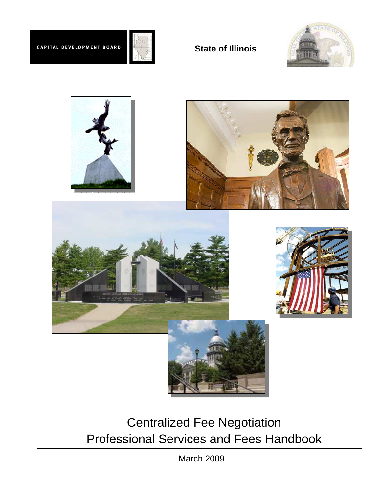

# **State of Illinois**





Centralized Fee Negotiation Professional Services and Fees Handbook

March 2009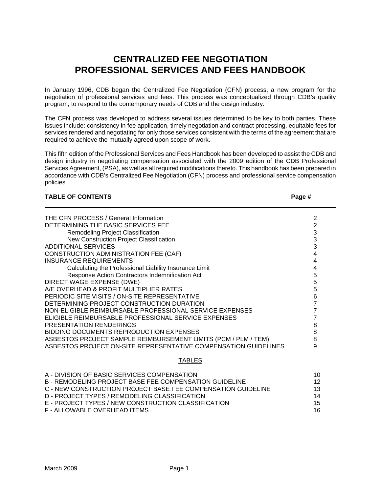# **CENTRALIZED FEE NEGOTIATION PROFESSIONAL SERVICES AND FEES HANDBOOK**

In January 1996, CDB began the Centralized Fee Negotiation (CFN) process, a new program for the negotiation of professional services and fees. This process was conceptualized through CDB's quality program, to respond to the contemporary needs of CDB and the design industry.

The CFN process was developed to address several issues determined to be key to both parties. These issues include: consistency in fee application, timely negotiation and contract processing, equitable fees for services rendered and negotiating for only those services consistent with the terms of the agreement that are required to achieve the mutually agreed upon scope of work.

This fifth edition of the Professional Services and Fees Handbook has been developed to assist the CDB and design industry in negotiating compensation associated with the 2009 edition of the CDB Professional Services Agreement, (PSA), as well as all required modifications thereto. This handbook has been prepared in accordance with CDB's Centralized Fee Negotiation (CFN) process and professional service compensation policies.

#### **TABLE OF CONTENTS**

|--|--|

| THE CFN PROCESS / General Information                           | 2 |
|-----------------------------------------------------------------|---|
| DETERMINING THE BASIC SERVICES FEE                              | 2 |
| Remodeling Project Classification                               | 3 |
| New Construction Project Classification                         | 3 |
| <b>ADDITIONAL SERVICES</b>                                      | 3 |
| CONSTRUCTION ADMINISTRATION FEE (CAF)                           | 4 |
| INSURANCE REQUIREMENTS                                          |   |
| Calculating the Professional Liability Insurance Limit          | 4 |
| Response Action Contractors Indemnification Act                 | 5 |
| DIRECT WAGE EXPENSE (DWE)                                       | 5 |
| A/E OVERHEAD & PROFIT MULTIPLIER RATES                          | 5 |
| PERIODIC SITE VISITS / ON-SITE REPRESENTATIVE                   | 6 |
| DETERMINING PROJECT CONSTRUCTION DURATION                       |   |
| NON-ELIGIBLE REIMBURSABLE PROFESSIONAL SERVICE EXPENSES         |   |
| ELIGIBLE REIMBURSABLE PROFESSIONAL SERVICE EXPENSES             |   |
| PRESENTATION RENDERINGS                                         | 8 |
| BIDDING DOCUMENTS REPRODUCTION EXPENSES                         | 8 |
| ASBESTOS PROJECT SAMPLE REIMBURSEMENT LIMITS (PCM / PLM / TEM)  | 8 |
| ASBESTOS PROJECT ON-SITE REPRESENTATIVE COMPENSATION GUIDELINES | 9 |
|                                                                 |   |
|                                                                 |   |

#### TABLES

| A - DIVISION OF BASIC SERVICES COMPENSATION                  | 10. |
|--------------------------------------------------------------|-----|
| B - REMODELING PROJECT BASE FEE COMPENSATION GUIDELINE       | 12. |
| C - NEW CONSTRUCTION PROJECT BASE FEE COMPENSATION GUIDELINE | 13. |
| D - PROJECT TYPES / REMODELING CLASSIFICATION                | 14  |
| E - PROJECT TYPES / NEW CONSTRUCTION CLASSIFICATION          | 15  |
| F - ALLOWABLE OVERHEAD ITEMS                                 | 16. |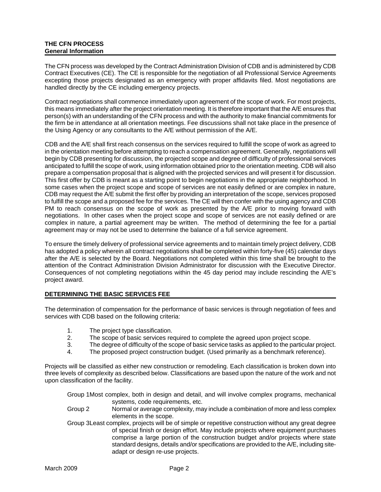#### **THE CFN PROCESS General Information**

The CFN process was developed by the Contract Administration Division of CDB and is administered by CDB Contract Executives (CE). The CE is responsible for the negotiation of all Professional Service Agreements excepting those projects designated as an emergency with proper affidavits filed. Most negotiations are handled directly by the CE including emergency projects.

Contract negotiations shall commence immediately upon agreement of the scope of work. For most projects, this means immediately after the project orientation meeting. It is therefore important that the A/E ensures that person(s) with an understanding of the CFN process and with the authority to make financial commitments for the firm be in attendance at all orientation meetings. Fee discussions shall not take place in the presence of the Using Agency or any consultants to the A/E without permission of the A/E.

CDB and the A/E shall first reach consensus on the services required to fulfill the scope of work as agreed to in the orientation meeting before attempting to reach a compensation agreement. Generally, negotiations will begin by CDB presenting for discussion, the projected scope and degree of difficulty of professional services anticipated to fulfill the scope of work, using information obtained prior to the orientation meeting. CDB will also prepare a compensation proposal that is aligned with the projected services and will present it for discussion. This first offer by CDB is meant as a starting point to begin negotiations in the appropriate neighborhood. In some cases when the project scope and scope of services are not easily defined or are complex in nature, CDB may request the A/E submit the first offer by providing an interpretation of the scope, services proposed to fulfill the scope and a proposed fee for the services. The CE will then confer with the using agency and CDB PM to reach consensus on the scope of work as presented by the A/E prior to moving forward with negotiations. In other cases when the project scope and scope of services are not easily defined or are complex in nature, a partial agreement may be written. The method of determining the fee for a partial agreement may or may not be used to determine the balance of a full service agreement.

To ensure the timely delivery of professional service agreements and to maintain timely project delivery, CDB has adopted a policy wherein all contract negotiations shall be completed within forty-five (45) calendar days after the A/E is selected by the Board. Negotiations not completed within this time shall be brought to the attention of the Contract Administration Division Administrator for discussion with the Executive Director. Consequences of not completing negotiations within the 45 day period may include rescinding the A/E's project award.

#### **DETERMINING THE BASIC SERVICES FEE**

The determination of compensation for the performance of basic services is through negotiation of fees and services with CDB based on the following criteria:

- 1. The project type classification.
- 2. The scope of basic services required to complete the agreed upon project scope.
- 3. The degree of difficulty of the scope of basic service tasks as applied to the particular project.
- 4. The proposed project construction budget. (Used primarily as a benchmark reference).

Projects will be classified as either new construction or remodeling. Each classification is broken down into three levels of complexity as described below. Classifications are based upon the nature of the work and not upon classification of the facility.

Group 1 Most complex, both in design and detail, and will involve complex programs, mechanical systems, code requirements, etc.

- Group 2 Normal or average complexity, may include a combination of more and less complex elements in the scope.
- Group 3 Least complex, projects will be of simple or repetitive construction without any great degree of special finish or design effort. May include projects where equipment purchases comprise a large portion of the construction budget and/or projects where state standard designs, details and/or specifications are provided to the A/E, including siteadapt or design re-use projects.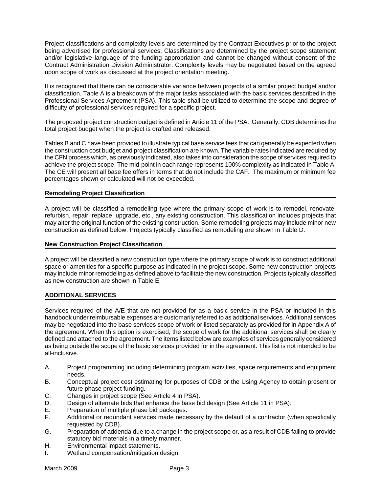Project classifications and complexity levels are determined by the Contract Executives prior to the project being advertised for professional services. Classifications are determined by the project scope statement and/or legislative language of the funding appropriation and cannot be changed without consent of the Contract Administration Division Administrator. Complexity levels may be negotiated based on the agreed upon scope of work as discussed at the project orientation meeting.

It is recognized that there can be considerable variance between projects of a similar project budget and/or classification. Table A is a breakdown of the major tasks associated with the basic services described in the Professional Services Agreement (PSA). This table shall be utilized to determine the scope and degree of difficulty of professional services required for a specific project.

The proposed project construction budget is defined in Article 11 of the PSA. Generally, CDB determines the total project budget when the project is drafted and released.

Tables B and C have been provided to illustrate typical base service fees that can generally be expected when the construction cost budget and project classification are known. The variable rates indicated are required by the CFN process which, as previously indicated, also takes into consideration the scope of services required to achieve the project scope. The mid-point in each range represents 100% complexity as indicated in Table A. The CE will present all base fee offers in terms that do not include the CAF. The maximum or minimum fee percentages shown or calculated will not be exceeded.

#### **Remodeling Project Classification**

A project will be classified a remodeling type where the primary scope of work is to remodel, renovate, refurbish, repair, replace, upgrade, etc., any existing construction. This classification includes projects that may alter the original function of the existing construction. Some remodeling projects may include minor new construction as defined below. Projects typically classified as remodeling are shown in Table D.

#### **New Construction Project Classification**

A project will be classified a new construction type where the primary scope of work is to construct additional space or amenities for a specific purpose as indicated in the project scope. Some new construction projects may include minor remodeling as defined above to facilitate the new construction. Projects typically classified as new construction are shown in Table E.

#### **ADDITIONAL SERVICES**

Services required of the A/E that are not provided for as a basic service in the PSA or included in this handbook under reimbursable expenses are customarily referred to as additional services. Additional services may be negotiated into the base services scope of work or listed separately as provided for in Appendix A of the agreement. When this option is exercised, the scope of work for the additional services shall be clearly defined and attached to the agreement. The items listed below are examples of services generally considered as being outside the scope of the basic services provided for in the agreement. This list is not intended to be all-inclusive.

- A. Project programming including determining program activities, space requirements and equipment needs.
- B. Conceptual project cost estimating for purposes of CDB or the Using Agency to obtain present or future phase project funding.
- C. Changes in project scope (See Article 4 in PSA).
- D. Design of alternate bids that enhance the base bid design (See Article 11 in PSA).
- E. Preparation of multiple phase bid packages.
- F. Additional or redundant services made necessary by the default of a contractor (when specifically requested by CDB).
- G. Preparation of addenda due to a change in the project scope or, as a result of CDB failing to provide statutory bid materials in a timely manner.
- H. Environmental impact statements.
- I. Wetland compensation/mitigation design.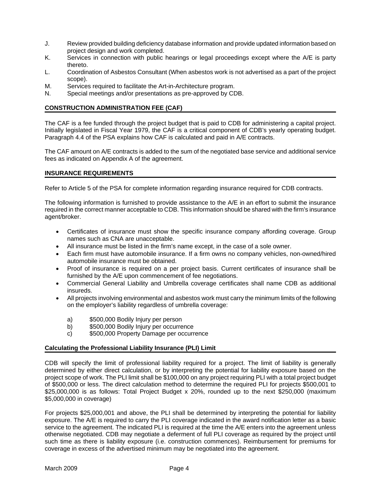- J. Review provided building deficiency database information and provide updated information based on project design and work completed.
- K. Services in connection with public hearings or legal proceedings except where the A/E is party thereto.
- L. Coordination of Asbestos Consultant (When asbestos work is not advertised as a part of the project scope).
- M. Services required to facilitate the Art-in-Architecture program.
- N. Special meetings and/or presentations as pre-approved by CDB.

#### **CONSTRUCTION ADMINISTRATION FEE (CAF)**

The CAF is a fee funded through the project budget that is paid to CDB for administering a capital project. Initially legislated in Fiscal Year 1979, the CAF is a critical component of CDB's yearly operating budget. Paragraph 4.4 of the PSA explains how CAF is calculated and paid in A/E contracts.

The CAF amount on A/E contracts is added to the sum of the negotiated base service and additional service fees as indicated on Appendix A of the agreement.

#### **INSURANCE REQUIREMENTS**

Refer to Article 5 of the PSA for complete information regarding insurance required for CDB contracts.

The following information is furnished to provide assistance to the A/E in an effort to submit the insurance required in the correct manner acceptable to CDB. This information should be shared with the firm's insurance agent/broker.

- Certificates of insurance must show the specific insurance company affording coverage. Group names such as CNA are unacceptable.
- All insurance must be listed in the firm's name except, in the case of a sole owner.
- Each firm must have automobile insurance. If a firm owns no company vehicles, non-owned/hired automobile insurance must be obtained.
- Proof of insurance is required on a per project basis. Current certificates of insurance shall be furnished by the A/E upon commencement of fee negotiations.
- Commercial General Liability and Umbrella coverage certificates shall name CDB as additional insureds.
- All projects involving environmental and asbestos work must carry the minimum limits of the following on the employer's liability regardless of umbrella coverage:
	- a) \$500,000 Bodily Injury per person
	- b) \$500,000 Bodily Injury per occurrence
	- c) \$500,000 Property Damage per occurrence

#### **Calculating the Professional Liability Insurance (PLI) Limit**

CDB will specify the limit of professional liability required for a project. The limit of liability is generally determined by either direct calculation, or by interpreting the potential for liability exposure based on the project scope of work. The PLI limit shall be \$100,000 on any project requiring PLI with a total project budget of \$500,000 or less. The direct calculation method to determine the required PLI for projects \$500,001 to \$25,000,000 is as follows: Total Project Budget x 20%, rounded up to the next \$250,000 (maximum \$5,000,000 in coverage)

For projects \$25,000,001 and above, the PLI shall be determined by interpreting the potential for liability exposure. The A/E is required to carry the PLI coverage indicated in the award notification letter as a basic service to the agreement. The indicated PLI is required at the time the A/E enters into the agreement unless otherwise negotiated. CDB may negotiate a deferment of full PLI coverage as required by the project until such time as there is liability exposure (i.e. construction commences). Reimbursement for premiums for coverage in excess of the advertised minimum may be negotiated into the agreement.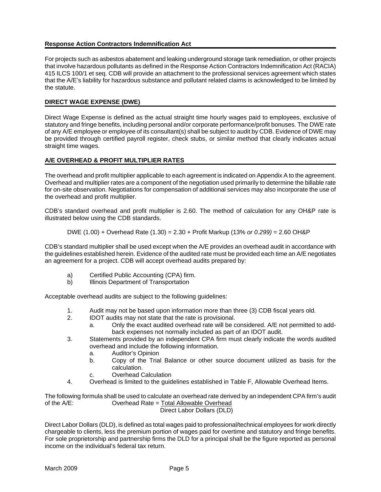#### **Response Action Contractors Indemnification Act**

For projects such as asbestos abatement and leaking underground storage tank remediation, or other projects that involve hazardous pollutants as defined in the Response Action Contractors Indemnification Act (RACIA) 415 ILCS 100/1 et seq. CDB will provide an attachment to the professional services agreement which states that the A/E's liability for hazardous substance and pollutant related claims is acknowledged to be limited by the statute.

#### **DIRECT WAGE EXPENSE (DWE)**

Direct Wage Expense is defined as the actual straight time hourly wages paid to employees, exclusive of statutory and fringe benefits, including personal and/or corporate performance/profit bonuses. The DWE rate of any A/E employee or employee of its consultant(s) shall be subject to audit by CDB. Evidence of DWE may be provided through certified payroll register, check stubs, or similar method that clearly indicates actual straight time wages.

#### **A/E OVERHEAD & PROFIT MULTIPLIER RATES**

The overhead and profit multiplier applicable to each agreement is indicated on Appendix A to the agreement. Overhead and multiplier rates are a component of the negotiation used primarily to determine the billable rate for on-site observation. Negotiations for compensation of additional services may also incorporate the use of the overhead and profit multiplier.

CDB's standard overhead and profit multiplier is 2.60. The method of calculation for any OH&P rate is illustrated below using the CDB standards.

DWE (1.00) + Overhead Rate (1.30) = 
$$
2.30 +
$$
 Profit Markup (13% or 0.299) =  $2.60$  OH&P

CDB's standard multiplier shall be used except when the A/E provides an overhead audit in accordance with the guidelines established herein. Evidence of the audited rate must be provided each time an A/E negotiates an agreement for a project. CDB will accept overhead audits prepared by:

- a) Certified Public Accounting (CPA) firm.
- b) Illinois Department of Transportation

Acceptable overhead audits are subject to the following guidelines:

- 1. Audit may not be based upon information more than three (3) CDB fiscal years old.
- 2. IDOT audits may not state that the rate is provisional.
	- a. Only the exact audited overhead rate will be considered. A/E not permitted to addback expenses not normally included as part of an IDOT audit.
- 3. Statements provided by an independent CPA firm must clearly indicate the words audited overhead and include the following information.
	- a. Auditor's Opinion
	- b. Copy of the Trial Balance or other source document utilized as basis for the calculation.
	- c. Overhead Calculation
- 4. Overhead is limited to the guidelines established in Table F, Allowable Overhead Items.

The following formula shall be used to calculate an overhead rate derived by an independent CPA firm's audit of the A/E: Overhead Rate = Total Allowable Overhead Direct Labor Dollars (DLD)

Direct Labor Dollars (DLD), is defined as total wages paid to professional/technical employees for work directly chargeable to clients, less the premium portion of wages paid for overtime and statutory and fringe benefits. For sole proprietorship and partnership firms the DLD for a principal shall be the figure reported as personal income on the individual's federal tax return.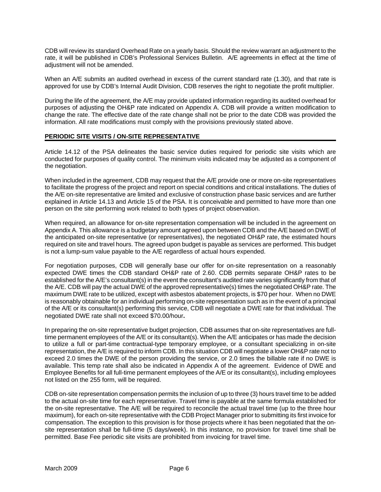CDB will review its standard Overhead Rate on a yearly basis. Should the review warrant an adjustment to the rate, it will be published in CDB's Professional Services Bulletin. A/E agreements in effect at the time of adjustment will not be amended.

When an A/E submits an audited overhead in excess of the current standard rate (1.30), and that rate is approved for use by CDB's Internal Audit Division, CDB reserves the right to negotiate the profit multiplier.

During the life of the agreement, the A/E may provide updated information regarding its audited overhead for purposes of adjusting the OH&P rate indicated on Appendix A. CDB will provide a written modification to change the rate. The effective date of the rate change shall not be prior to the date CDB was provided the information. All rate modifications must comply with the provisions previously stated above.

#### **PERIODIC SITE VISITS / ON-SITE REPRESENTATIVE**

Article 14.12 of the PSA delineates the basic service duties required for periodic site visits which are conducted for purposes of quality control. The minimum visits indicated may be adjusted as a component of the negotiation.

When included in the agreement, CDB may request that the A/E provide one or more on-site representatives to facilitate the progress of the project and report on special conditions and critical installations. The duties of the A/E on-site representative are limited and exclusive of construction phase basic services and are further explained in Article 14.13 and Article 15 of the PSA. It is conceivable and permitted to have more than one person on the site performing work related to both types of project observation.

When required, an allowance for on-site representation compensation will be included in the agreement on Appendix A. This allowance is a budgetary amount agreed upon between CDB and the A/E based on DWE of the anticipated on-site representative (or representatives), the negotiated OH&P rate, the estimated hours required on site and travel hours. The agreed upon budget is payable as services are performed. This budget is not a lump-sum value payable to the A/E regardless of actual hours expended.

For negotiation purposes, CDB will generally base our offer for on-site representation on a reasonably expected DWE times the CDB standard OH&P rate of 2.60. CDB permits separate OH&P rates to be established for the A/E's consultant(s) in the event the consultant's audited rate varies significantly from that of the A/E. CDB will pay the actual DWE of the approved representative(s) times the negotiated OH&P rate. The maximum DWE rate to be utilized, except with asbestos abatement projects, is \$70 per hour. When no DWE is reasonably obtainable for an individual performing on-site representation such as in the event of a principal of the A/E or its consultant(s) performing this service, CDB will negotiate a DWE rate for that individual. The negotiated DWE rate shall not exceed \$70.00/hour**.**

In preparing the on-site representative budget projection, CDB assumes that on-site representatives are fulltime permanent employees of the A/E or its consultant(s). When the A/E anticipates or has made the decision to utilize a full or part-time contractual-type temporary employee, or a consultant specializing in on-site representation, the A/E is required to inform CDB. In this situation CDB will negotiate a lower OH&P rate not to exceed 2.0 times the DWE of the person providing the service, or 2.0 times the billable rate if no DWE is available. This temp rate shall also be indicated in Appendix A of the agreement. Evidence of DWE and Employee Benefits for all full-time permanent employees of the A/E or its consultant(s), including employees not listed on the 255 form, will be required.

CDB on-site representation compensation permits the inclusion of up to three (3) hours travel time to be added to the actual on-site time for each representative. Travel time is payable at the same formula established for the on-site representative. The A/E will be required to reconcile the actual travel time (up to the three hour maximum), for each on-site representative with the CDB Project Manager prior to submitting its first invoice for compensation. The exception to this provision is for those projects where it has been negotiated that the onsite representation shall be full-time (5 days/week). In this instance, no provision for travel time shall be permitted. Base Fee periodic site visits are prohibited from invoicing for travel time.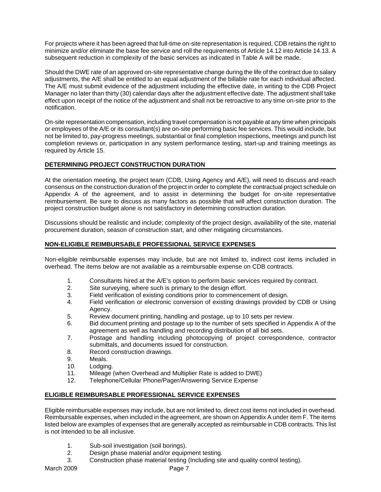For projects where it has been agreed that full-time on-site representation is required, CDB retains the right to minimize and/or eliminate the base fee service and roll the requirements of Article 14.12 into Article 14.13. A subsequent reduction in complexity of the basic services as indicated in Table A will be made.

Should the DWE rate of an approved on-site representative change during the life of the contract due to salary adjustments, the A/E shall be entitled to an equal adjustment of the billable rate for each individual affected. The A/E must submit evidence of the adjustment including the effective date, in writing to the CDB Project Manager no later than thirty (30) calendar days after the adjustment effective date. The adjustment shall take effect upon receipt of the notice of the adjustment and shall not be retroactive to any time on-site prior to the notification.

On-site representation compensation, including travel compensation is not payable at any time when principals or employees of the A/E or its consultant(s) are on-site performing basic fee services. This would include, but not be limited to, pay-progress meetings, substantial or final completion inspections, meetings and punch list completion reviews or, participation in any system performance testing, start-up and training meetings as required by Article 15.

#### **DETERMINING PROJECT CONSTRUCTION DURATION**

At the orientation meeting, the project team (CDB, Using Agency and A/E), will need to discuss and reach consensus on the construction duration of the project in order to complete the contractual project schedule on Appendix A of the agreement, and to assist in determining the budget for on-site representative reimbursement. Be sure to discuss as many factors as possible that will affect construction duration. The project construction budget alone is not satisfactory in determining construction duration.

Discussions should be realistic and include; complexity of the project design, availability of the site, material procurement duration, season of construction start, and other mitigating circumstances.

#### **NON-ELIGIBLE REIMBURSABLE PROFESSIONAL SERVICE EXPENSES**

Non-eligible reimbursable expenses may include, but are not limited to, indirect cost items included in overhead. The items below are not available as a reimbursable expense on CDB contracts.

- 1. Consultants hired at the A/E's option to perform basic services required by contract.
- 2. Site surveying, where such is primary to the design effort.
- 3. Field verification of existing conditions prior to commencement of design.
- 4. Field verification or electronic conversion of existing drawings provided by CDB or Using Agency.
- 5. Review document printing, handling and postage, up to 10 sets per review.
- 6. Bid document printing and postage up to the number of sets specified in Appendix A of the agreement as well as handling and recording distribution of all bid sets.
- 7. Postage and handling including photocopying of project correspondence, contractor submittals, and documents issued for construction.
- 8. Record construction drawings.
- 9. Meals.
- 10. Lodging.
- 11. Mileage (when Overhead and Multiplier Rate is added to DWE)
- 12. Telephone/Cellular Phone/Pager/Answering Service Expense

#### **ELIGIBLE REIMBURSABLE PROFESSIONAL SERVICE EXPENSES**

Eligible reimbursable expenses may include, but are not limited to, direct cost items not included in overhead. Reimbursable expenses, when included in the agreement, are shown on Appendix A under item F. The items listed below are examples of expenses that are generally accepted as reimbursable in CDB contracts. This list is not intended to be all inclusive.

- 1. Sub-soil investigation (soil borings).
- 2. Design phase material and/or equipment testing.
- 3. Construction phase material testing (Including site and quality control testing).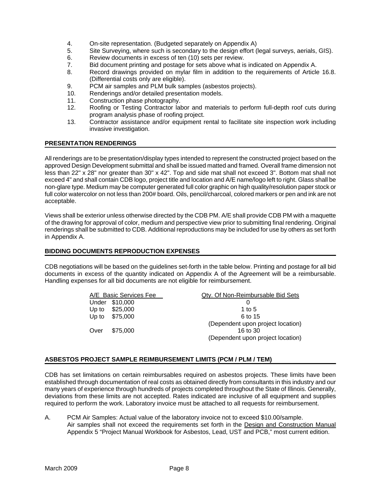- 4. On-site representation. (Budgeted separately on Appendix A)
- 5. Site Surveying, where such is secondary to the design effort (legal surveys, aerials, GIS).
- 6. Review documents in excess of ten (10) sets per review.
- 7. Bid document printing and postage for sets above what is indicated on Appendix A.
- 8. Record drawings provided on mylar film in addition to the requirements of Article 16.8. (Differential costs only are eligible).
- 9. PCM air samples and PLM bulk samples (asbestos projects).
- 10. Renderings and/or detailed presentation models.
- 11. Construction phase photography.
- 12. Roofing or Testing Contractor labor and materials to perform full-depth roof cuts during program analysis phase of roofing project.
- 13. Contractor assistance and/or equipment rental to facilitate site inspection work including invasive investigation.

#### **PRESENTATION RENDERINGS**

All renderings are to be presentation/display types intended to represent the constructed project based on the approved Design Development submittal and shall be issued matted and framed. Overall frame dimension not less than 22" x 28" nor greater than 30" x 42". Top and side mat shall not exceed 3". Bottom mat shall not exceed 4" and shall contain CDB logo, project title and location and A/E name/logo left to right. Glass shall be non-glare type. Medium may be computer generated full color graphic on high quality/resolution paper stock or full color watercolor on not less than 200# board. Oils, pencil/charcoal, colored markers or pen and ink are not acceptable.

Views shall be exterior unless otherwise directed by the CDB PM. A/E shall provide CDB PM with a maquette of the drawing for approval of color, medium and perspective view prior to submitting final rendering. Original renderings shall be submitted to CDB. Additional reproductions may be included for use by others as set forth in Appendix A.

#### **BIDDING DOCUMENTS REPRODUCTION EXPENSES**

CDB negotiations will be based on the guidelines set-forth in the table below. Printing and postage for all bid documents in excess of the quantity indicated on Appendix A of the Agreement will be a reimbursable. Handling expenses for all bid documents are not eligible for reimbursement.

| A/E Basic Services Fee |                | Qty. Of Non-Reimbursable Bid Sets |
|------------------------|----------------|-----------------------------------|
|                        | Under \$10,000 |                                   |
|                        | Up to \$25,000 | 1 to 5                            |
|                        | Up to \$75,000 | 6 to 15                           |
|                        |                | (Dependent upon project location) |
| Over                   | \$75,000       | 16 to 30                          |
|                        |                | (Dependent upon project location) |

#### **ASBESTOS PROJECT SAMPLE REIMBURSEMENT LIMITS (PCM / PLM / TEM)**

CDB has set limitations on certain reimbursables required on asbestos projects. These limits have been established through documentation of real costs as obtained directly from consultants in this industry and our many years of experience through hundreds of projects completed throughout the State of Illinois. Generally, deviations from these limits are not accepted. Rates indicated are inclusive of all equipment and supplies required to perform the work. Laboratory invoice must be attached to all requests for reimbursement.

A. PCM Air Samples: Actual value of the laboratory invoice not to exceed \$10.00/sample. Air samples shall not exceed the requirements set forth in the Design and Construction Manual Appendix 5 "Project Manual Workbook for Asbestos, Lead, UST and PCB," most current edition.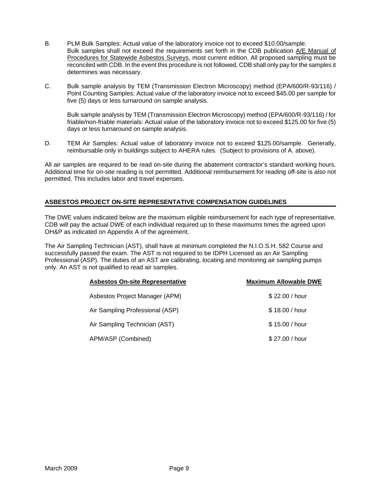- B. PLM Bulk Samples: Actual value of the laboratory invoice not to exceed \$10.00/sample. Bulk samples shall not exceed the requirements set forth in the CDB publication A/E Manual of Procedures for Statewide Asbestos Surveys, most current edition. All proposed sampling must be reconciled with CDB. In the event this procedure is not followed, CDB shall only pay for the samples it determines was necessary.
- C. Bulk sample analysis by TEM (Transmission Electron Microscopy) method (EPA/600/R-93/116) / Point Counting Samples: Actual value of the laboratory invoice not to exceed \$45.00 per sample for five (5) days or less turnaround on sample analysis.

Bulk sample analysis by TEM (Transmission Electron Microscopy) method (EPA/600/R-93/116) / for friable/non-friable materials: Actual value of the laboratory invoice not to exceed \$125.00 for five (5) days or less turnaround on sample analysis.

D. TEM Air Samples: Actual value of laboratory invoice not to exceed \$125.00/sample. Generally, reimbursable only in buildings subject to AHERA rules. (Subject to provisions of A. above).

All air samples are required to be read on-site during the abatement contractor's standard working hours. Additional time for on-site reading is not permitted. Additional reimbursement for reading off-site is also not permitted. This includes labor and travel expenses.

#### **ASBESTOS PROJECT ON-SITE REPRESENTATIVE COMPENSATION GUIDELINES**

The DWE values indicated below are the maximum eligible reimbursement for each type of representative. CDB will pay the actual DWE of each individual required up to these maximums times the agreed upon OH&P as indicated on Appendix A of the agreement.

The Air Sampling Technician (AST), shall have at minimum completed the N.I.O.S.H. 582 Course and successfully passed the exam. The AST is not required to be IDPH Licensed as an Air Sampling Professional (ASP). The duties of an AST are calibrating, locating and monitoring air sampling pumps only. An AST is not qualified to read air samples.

| <b>Asbestos On-site Representative</b> | <b>Maximum Allowable DWE</b> |
|----------------------------------------|------------------------------|
| Asbestos Project Manager (APM)         | \$22,00 / hour               |
| Air Sampling Professional (ASP)        | \$18,00 / hour               |
| Air Sampling Technician (AST)          | \$15,00 / hour               |
| APM/ASP (Combined)                     | \$27,00 / hour               |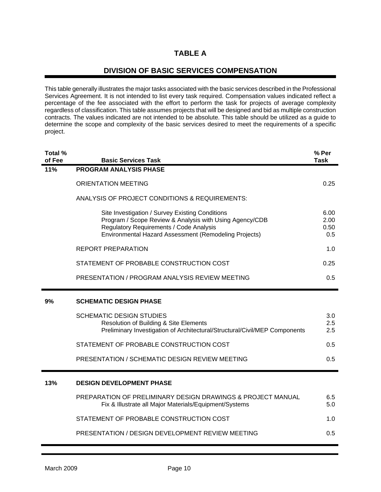## **TABLE A**

### **DIVISION OF BASIC SERVICES COMPENSATION**

This table generally illustrates the major tasks associated with the basic services described in the Professional Services Agreement. It is not intended to list every task required. Compensation values indicated reflect a percentage of the fee associated with the effort to perform the task for projects of average complexity regardless of classification. This table assumes projects that will be designed and bid as multiple construction contracts. The values indicated are not intended to be absolute. This table should be utilized as a guide to determine the scope and complexity of the basic services desired to meet the requirements of a specific project.

| Total %<br>of Fee | <b>Basic Services Task</b>                                                                                                                                                                                     | % Per<br><b>Task</b>        |
|-------------------|----------------------------------------------------------------------------------------------------------------------------------------------------------------------------------------------------------------|-----------------------------|
| 11%               | <b>PROGRAM ANALYSIS PHASE</b>                                                                                                                                                                                  |                             |
|                   | <b>ORIENTATION MEETING</b>                                                                                                                                                                                     | 0.25                        |
|                   | ANALYSIS OF PROJECT CONDITIONS & REQUIREMENTS:                                                                                                                                                                 |                             |
|                   | Site Investigation / Survey Existing Conditions<br>Program / Scope Review & Analysis with Using Agency/CDB<br>Regulatory Requirements / Code Analysis<br>Environmental Hazard Assessment (Remodeling Projects) | 6.00<br>2.00<br>0.50<br>0.5 |
|                   | <b>REPORT PREPARATION</b>                                                                                                                                                                                      | 1.0                         |
|                   | STATEMENT OF PROBABLE CONSTRUCTION COST                                                                                                                                                                        | 0.25                        |
|                   | PRESENTATION / PROGRAM ANALYSIS REVIEW MEETING                                                                                                                                                                 | 0.5                         |
| 9%                | <b>SCHEMATIC DESIGN PHASE</b>                                                                                                                                                                                  |                             |
|                   | <b>SCHEMATIC DESIGN STUDIES</b><br>Resolution of Building & Site Elements<br>Preliminary Investigation of Architectural/Structural/Civil/MEP Components                                                        | 3.0<br>2.5<br>2.5           |
|                   | STATEMENT OF PROBABLE CONSTRUCTION COST                                                                                                                                                                        | 0.5                         |
|                   | PRESENTATION / SCHEMATIC DESIGN REVIEW MEETING                                                                                                                                                                 | 0.5                         |
| 13%               | <b>DESIGN DEVELOPMENT PHASE</b>                                                                                                                                                                                |                             |
|                   | PREPARATION OF PRELIMINARY DESIGN DRAWINGS & PROJECT MANUAL<br>Fix & Illustrate all Major Materials/Equipment/Systems                                                                                          | 6.5<br>5.0                  |
|                   | STATEMENT OF PROBABLE CONSTRUCTION COST                                                                                                                                                                        | 1.0                         |
|                   | PRESENTATION / DESIGN DEVELOPMENT REVIEW MEETING                                                                                                                                                               | 0.5                         |

r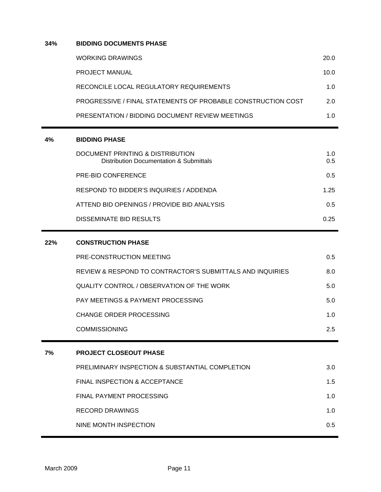#### **34% BIDDING DOCUMENTS PHASE**

| WORKING DRAWINGS                                             | 20.0 |
|--------------------------------------------------------------|------|
| <b>PROJECT MANUAL</b>                                        | 10.0 |
| RECONCILE LOCAL REGULATORY REQUIREMENTS                      | 1.0  |
| PROGRESSIVE / FINAL STATEMENTS OF PROBABLE CONSTRUCTION COST | 2 O  |
| PRESENTATION / BIDDING DOCUMENT REVIEW MEETINGS              | 1 N  |

### **4% BIDDING PHASE**

| DOCUMENT PRINTING & DISTRIBUTION<br>Distribution Documentation & Submittals | 1.0<br>0.5 |
|-----------------------------------------------------------------------------|------------|
| PRE-BID CONFERENCE                                                          | 0.5        |
| RESPOND TO BIDDER'S INQUIRIES / ADDENDA                                     | 1.25       |
| ATTEND BID OPENINGS / PROVIDE BID ANALYSIS                                  | 05         |
| DISSEMINATE BID RESULTS                                                     | O 25       |

| 22% | <b>CONSTRUCTION PHASE</b>                                 |     |
|-----|-----------------------------------------------------------|-----|
|     | PRE-CONSTRUCTION MEETING                                  | 0.5 |
|     | REVIEW & RESPOND TO CONTRACTOR'S SUBMITTALS AND INQUIRIES | 8.0 |
|     | QUALITY CONTROL / OBSERVATION OF THE WORK                 | 5.0 |
|     | <b>PAY MEETINGS &amp; PAYMENT PROCESSING</b>              | 5.0 |
|     | <b>CHANGE ORDER PROCESSING</b>                            | 1.0 |
|     | <b>COMMISSIONING</b>                                      | 2.5 |
|     |                                                           |     |
|     |                                                           |     |
| 7%  | <b>PROJECT CLOSEOUT PHASE</b>                             |     |
|     | PRELIMINARY INSPECTION & SUBSTANTIAL COMPLETION           | 3.0 |
|     | <b>FINAL INSPECTION &amp; ACCEPTANCE</b>                  | 1.5 |
|     | FINAL PAYMENT PROCESSING                                  | 1.0 |
|     | RECORD DRAWINGS                                           | 1.0 |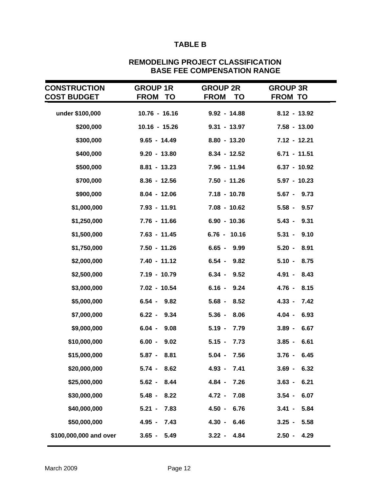## **TABLE B**

| <b>CONSTRUCTION</b>    | <b>GROUP 1R</b>   | <b>GROUP 2R</b>   | <b>GROUP 3R</b>  |
|------------------------|-------------------|-------------------|------------------|
| <b>COST BUDGET</b>     | <b>FROM</b><br>ТО | <b>FROM</b><br>TO | <b>FROM TO</b>   |
| under \$100,000        | $10.76 - 16.16$   | $9.92 - 14.88$    | $8.12 - 13.92$   |
| \$200,000              | $10.16 - 15.26$   | $9.31 - 13.97$    | $7.58 - 13.00$   |
| \$300,000              | $9.65 - 14.49$    | $8.80 - 13.20$    | $7.12 - 12.21$   |
| \$400,000              | $9.20 - 13.80$    | $8.34 - 12.52$    | $6.71 - 11.51$   |
| \$500,000              | $8.81 - 13.23$    | 7.96 - 11.94      | $6.37 - 10.92$   |
| \$700,000              | $8.36 - 12.56$    | $7.50 - 11.26$    | $5.97 - 10.23$   |
| \$900,000              | $8.04 - 12.06$    | $7.18 - 10.78$    | $5.67 - 9.73$    |
| \$1,000,000            | 7.93 - 11.91      | $7.08 - 10.62$    | $5.58 - 9.57$    |
| \$1,250,000            | $7.76 - 11.66$    | $6.90 - 10.36$    | $5.43 - 9.31$    |
| \$1,500,000            | $7.63 - 11.45$    | $6.76 - 10.16$    | $5.31 - 9.10$    |
| \$1,750,000            | $7.50 - 11.26$    | $6.65 -$<br>9.99  | $5.20 -$<br>8.91 |
| \$2,000,000            | $7.40 - 11.12$    | $6.54 -$<br>9.82  | $5.10 -$<br>8.75 |
| \$2,500,000            | 7.19 - 10.79      | $6.34 - 9.52$     | 4.91 - 8.43      |
| \$3,000,000            | 7.02 - 10.54      | $6.16 -$<br>9.24  | 8.15<br>4.76 -   |
| \$5,000,000            | $6.54 - 9.82$     | $5.68 -$<br>8.52  | $4.33 -$<br>7.42 |
| \$7,000,000            | $6.22 - 9.34$     | $5.36 -$<br>8.06  | $4.04 -$<br>6.93 |
| \$9,000,000            | $6.04 -$<br>9.08  | $5.19 -$<br>7.79  | $3.89 -$<br>6.67 |
| \$10,000,000           | $6.00 -$<br>9.02  | $5.15 -$<br>7.73  | $3.85 -$<br>6.61 |
| \$15,000,000           | $5.87 -$<br>8.81  | 7.56<br>$5.04 -$  | 6.45<br>$3.76 -$ |
| \$20,000,000           | $5.74 -$<br>8.62  | $4.93 -$<br>7.41  | $3.69 -$<br>6.32 |
| \$25,000,000           | $5.62 -$<br>8.44  | $4.84 -$<br>7.26  | $3.63 -$<br>6.21 |
| \$30,000,000           | $5.48 -$<br>8.22  | $4.72 -$<br>7.08  | $3.54 -$<br>6.07 |
| \$40,000,000           | 7.83<br>$5.21 -$  | $4.50 -$<br>6.76  | $3.41 -$<br>5.84 |
| \$50,000,000           | 7.43<br>$4.95 -$  | $4.30 -$<br>6.46  | $3.25 -$<br>5.58 |
| \$100,000,000 and over | $3.65 -$<br>5.49  | $3.22 - 4.84$     | $2.50 -$<br>4.29 |

#### **REMODELING PROJECT CLASSIFICATION BASE FEE COMPENSATION RANGE**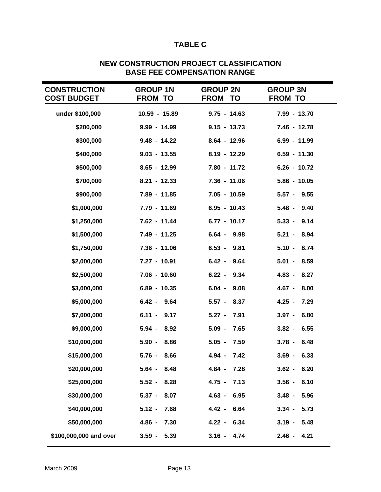## **TABLE C**

| <b>CONSTRUCTION</b><br><b>COST BUDGET</b> | <b>GROUP 1N</b><br><b>FROM TO</b> | <b>GROUP 2N</b><br><b>FROM TO</b> | <b>GROUP 3N</b><br><b>FROM TO</b> |
|-------------------------------------------|-----------------------------------|-----------------------------------|-----------------------------------|
| under \$100,000                           | 10.59 - 15.89                     | $9.75 - 14.63$                    | 7.99 - 13.70                      |
| \$200,000                                 | $9.99 - 14.99$                    | $9.15 - 13.73$                    | 7.46 - 12.78                      |
| \$300,000                                 | $9.48 - 14.22$                    | $8.64 - 12.96$                    | 6.99 - 11.99                      |
| \$400,000                                 | $9.03 - 13.55$                    | $8.19 - 12.29$                    | $6.59 - 11.30$                    |
| \$500,000                                 | $8.65 - 12.99$                    | 7.80 - 11.72                      | $6.26 - 10.72$                    |
| \$700,000                                 | $8.21 - 12.33$                    | $7.36 - 11.06$                    | $5.86 - 10.05$                    |
| \$900,000                                 | 7.89 - 11.85                      | $7.05 - 10.59$                    | $5.57 - 9.55$                     |
| \$1,000,000                               | 7.79 - 11.69                      | $6.95 - 10.43$                    | $5.48 - 9.40$                     |
| \$1,250,000                               | 7.62 - 11.44                      | $6.77 - 10.17$                    | $5.33 - 9.14$                     |
| \$1,500,000                               | 7.49 - 11.25                      | $6.64 -$<br>9.98                  | $5.21 - 8.94$                     |
| \$1,750,000                               | $7.36 - 11.06$                    | $6.53 -$<br>9.81                  | $5.10 - 8.74$                     |
| \$2,000,000                               | 7.27 - 10.91                      | $6.42 -$<br>9.64                  | $5.01 -$<br>8.59                  |
| \$2,500,000                               | $7.06 - 10.60$                    | $6.22 -$<br>9.34                  | $4.83 -$<br>8.27                  |
| \$3,000,000                               | 6.89 - 10.35                      | $6.04 -$<br>9.08                  | $4.67 -$<br>8.00                  |
| \$5,000,000                               | $6.42 - 9.64$                     | $5.57 -$<br>8.37                  | $4.25 -$<br>7.29                  |
| \$7,000,000                               | $6.11 - 9.17$                     | $5.27 -$<br>7.91                  | $3.97 -$<br>6.80                  |
| \$9,000,000                               | 8.92<br>$5.94 -$                  | $5.09 -$<br>7.65                  | 6.55<br>$3.82 -$                  |
| \$10,000,000                              | $5.90 -$<br>8.86                  | $5.05 -$<br>7.59                  | $3.78 - 6.48$                     |
| \$15,000,000                              | $5.76 - 8.66$                     | 4.94 - 7.42                       | $3.69 - 6.33$                     |
| \$20,000,000                              | $5.64 -$<br>8.48                  | $4.84 -$<br>7.28                  | $3.62 -$<br>6.20                  |
| \$25,000,000                              | $5.52 -$<br>8.28                  | $4.75 -$<br>7.13                  | $3.56 - 6.10$                     |
| \$30,000,000                              | $5.37 -$<br>8.07                  | 6.95<br>$4.63 -$                  | $3.48 -$<br>5.96                  |
| \$40,000,000                              | $5.12 -$<br>7.68                  | $4.42 -$<br>6.64                  | $3.34 -$<br>5.73                  |
| \$50,000,000                              | $4.86 -$<br>7.30                  | 4.22 - 6.34                       | $3.19 - 5.48$                     |
| \$100,000,000 and over                    | $3.59 -$<br>5.39                  | $3.16 - 4.74$                     | $2.46 - 4.21$                     |

## **NEW CONSTRUCTION PROJECT CLASSIFICATION BASE FEE COMPENSATION RANGE**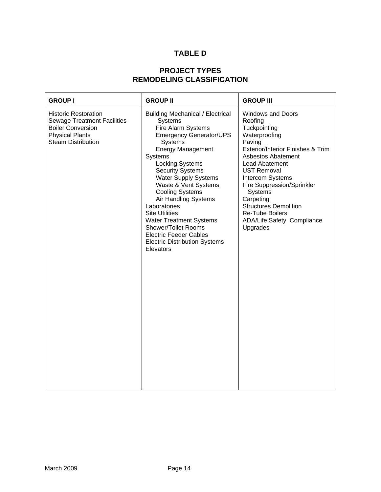## **TABLE D**

## **PROJECT TYPES REMODELING CLASSIFICATION**

| <b>GROUP I</b>                                                                                                                                       | <b>GROUP II</b>                                                                                                                                                                                                                                                                                                                                                                                                                                                                                                           | <b>GROUP III</b>                                                                                                                                                                                                                                                                                                                                                |
|------------------------------------------------------------------------------------------------------------------------------------------------------|---------------------------------------------------------------------------------------------------------------------------------------------------------------------------------------------------------------------------------------------------------------------------------------------------------------------------------------------------------------------------------------------------------------------------------------------------------------------------------------------------------------------------|-----------------------------------------------------------------------------------------------------------------------------------------------------------------------------------------------------------------------------------------------------------------------------------------------------------------------------------------------------------------|
| <b>Historic Restoration</b><br><b>Sewage Treatment Facilities</b><br><b>Boiler Conversion</b><br><b>Physical Plants</b><br><b>Steam Distribution</b> | <b>Building Mechanical / Electrical</b><br>Systems<br>Fire Alarm Systems<br><b>Emergency Generator/UPS</b><br><b>Systems</b><br><b>Energy Management</b><br>Systems<br><b>Locking Systems</b><br><b>Security Systems</b><br><b>Water Supply Systems</b><br>Waste & Vent Systems<br><b>Cooling Systems</b><br>Air Handling Systems<br>Laboratories<br><b>Site Utilities</b><br><b>Water Treatment Systems</b><br>Shower/Toilet Rooms<br><b>Electric Feeder Cables</b><br><b>Electric Distribution Systems</b><br>Elevators | <b>Windows and Doors</b><br>Roofing<br>Tuckpointing<br>Waterproofing<br>Paving<br>Exterior/Interior Finishes & Trim<br>Asbestos Abatement<br>Lead Abatement<br><b>UST Removal</b><br>Intercom Systems<br>Fire Suppression/Sprinkler<br>Systems<br>Carpeting<br><b>Structures Demolition</b><br><b>Re-Tube Boilers</b><br>ADA/Life Safety Compliance<br>Upgrades |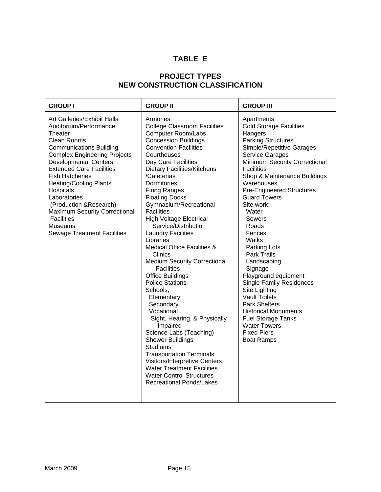## **TABLE E**

## **PROJECT TYPES NEW CONSTRUCTION CLASSIFICATION**

| <b>GROUP I</b>                                                                                                                                                                                                                                                                                                                                                                                                                                               | <b>GROUP II</b>                                                                                                                                                                                                                                                                                                                                                                                                                                                                                                                                                                                                                                                                                                                                                                                                                                                                                                                                                                                 | <b>GROUP III</b>                                                                                                                                                                                                                                                                                                                                                                                                                                                                                                                                                                                                                                                                           |
|--------------------------------------------------------------------------------------------------------------------------------------------------------------------------------------------------------------------------------------------------------------------------------------------------------------------------------------------------------------------------------------------------------------------------------------------------------------|-------------------------------------------------------------------------------------------------------------------------------------------------------------------------------------------------------------------------------------------------------------------------------------------------------------------------------------------------------------------------------------------------------------------------------------------------------------------------------------------------------------------------------------------------------------------------------------------------------------------------------------------------------------------------------------------------------------------------------------------------------------------------------------------------------------------------------------------------------------------------------------------------------------------------------------------------------------------------------------------------|--------------------------------------------------------------------------------------------------------------------------------------------------------------------------------------------------------------------------------------------------------------------------------------------------------------------------------------------------------------------------------------------------------------------------------------------------------------------------------------------------------------------------------------------------------------------------------------------------------------------------------------------------------------------------------------------|
| Art Galleries/Exhibit Halls<br>Auditorium/Performance<br>Theater<br>Clean Rooms<br><b>Communications Building</b><br><b>Complex Engineering Projects</b><br><b>Developmental Centers</b><br><b>Extended Care Facilities</b><br><b>Fish Hatcheries</b><br><b>Heating/Cooling Plants</b><br>Hospitals<br>Laboratories<br>(Production & Research)<br><b>Maximum Security Correctional</b><br><b>Facilities</b><br>Museums<br><b>Sewage Treatment Facilities</b> | Armories<br><b>College Classroom Facilities</b><br><b>Computer Room/Labs</b><br><b>Concession Buildings</b><br><b>Convention Facilities</b><br>Courthouses<br>Day Care Facilities<br><b>Dietary Facilities/Kitchens</b><br>/Cafeterias<br>Dormitories<br><b>Firing Ranges</b><br><b>Floating Docks</b><br>Gymnasium/Recreational<br><b>Facilities</b><br><b>High Voltage Electrical</b><br>Service/Distribution<br><b>Laundry Facilities</b><br>Libraries<br><b>Medical Office Facilities &amp;</b><br><b>Clinics</b><br><b>Medium Security Correctional</b><br><b>Facilities</b><br><b>Office Buildings</b><br><b>Police Stations</b><br>Schools;<br>Elementary<br>Secondary<br>Vocational<br>Sight, Hearing, & Physically<br>Impaired<br>Science Labs (Teaching)<br><b>Shower Buildings</b><br><b>Stadiums</b><br><b>Transportation Terminals</b><br>Visitors/Interpretive Centers<br><b>Water Treatment Facilities</b><br><b>Water Control Structures</b><br><b>Recreational Ponds/Lakes</b> | Apartments<br><b>Cold Storage Facilities</b><br>Hangers<br><b>Parking Structures</b><br>Simple/Repetitive Garages<br>Service Garages<br>Minimum Security Correctional<br><b>Facilities</b><br>Shop & Maintenance Buildings<br>Warehouses<br><b>Pre-Engineered Structures</b><br><b>Guard Towers</b><br>Site work;<br>Water<br><b>Sewers</b><br>Roads<br>Fences<br>Walks<br>Parking Lots<br><b>Park Trails</b><br>Landscaping<br>Signage<br>Playground equipment<br><b>Single Family Residences</b><br>Site Lighting<br><b>Vault Toilets</b><br><b>Park Shelters</b><br><b>Historical Monuments</b><br><b>Fuel Storage Tanks</b><br><b>Water Towers</b><br>Fixed Piers<br><b>Boat Ramps</b> |